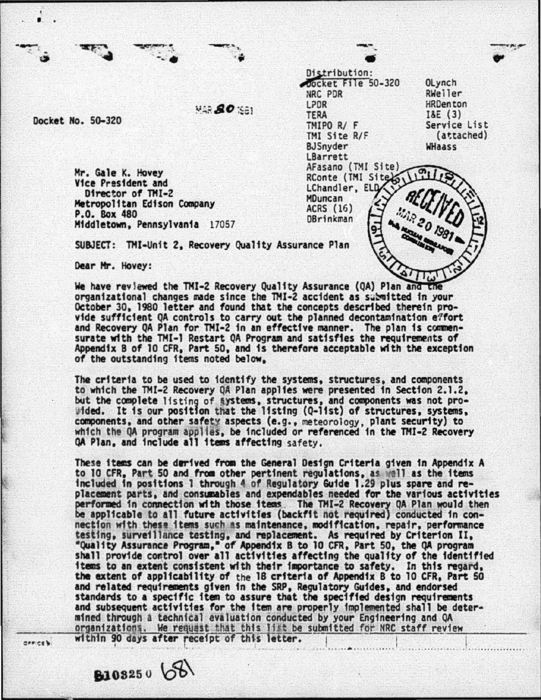Distribution: Docket File 50-320 OLynch NRC PDR RWeller LPDR HRDenton<br>I&E (3)  $MAR$   $SO-320$   $MAR$   $SO-320$  TERA<br>
THERA<br>
THERE R/F Service List TMI Site R/F (attached) **BJSnyder** WHaass LBarrett AFasano (TMI Site) Mr. Gale K. Hovey RConte (TMI Sitero Vice President and LChandler, ELD Director of TMI-2 **MDuncan** Metropolitan Edison Company **ACRS (16)** P.O. Box 480 **DBrinkman** Middletown, Pennsylvania 17057 SUBJECT: TMI·Unit 2, Recovery Quality Assurance Plan Dear Hr. Hovey:

We have reviewed the TMI-2 Recovery Quality Assurance (QA) Plan and the organizational changes made since the TMI-2 accident as submitted in your October 30, 1980 letter and found that the concepts described therein provide sufficient QA controls to carry out the planned decontamination e7fort and Recovery QA Plan for TMI-2 in an effective manner. The plan is commensurate with the TMI-1 Restart QA Program and satisfies the requirements of Appendix B of 10 CFR, Part 50, and is therefore acceptable with the exception of the outstanding items noted below.

The criteria to be used to identify the systems, structures, and components to which the THI-2 Recovery QA Plan appltes were presented in Section 2.1.2, but the complete listing of §ystems, structures, and components was not pro-<br>Wided. It is our position that the listing (Q-1ist) of structures, systems, components, and other safety aspects (e.g., meteorology, plant security) to which the QA program applies, be included or referenced in the TMI-2 Recovery QA Plan, and include all 1taas affecting safety.

These items can be derived from the General Design Criteria given in Appendix A to 10 CFR, Part 50 and from other pertinent regulations, as well as the items included in postttons 1 through 4 of Regulatory Guide 1.29 plus spare and replacement parts, and consumables and expendables needed for the various activities performed in connection with those items . The TMI-2 Recovery QA Plan would then be applicable to all future activities (backfit not required) conducted in connection with these items such as maintenance, modification, repair, performance testing, surveillance testing, and replacement. As required by Criterion II, "Quality Assurance Program," of Appendix B to 10 CFR, Part 50, the QA program shall provide control over all activities affecting the quality of the identified items to an extent consistent with their importance to safety. In this regard, the extent of appltcabtltty of the 18 criteria of Appendix B to 10 CFR, Part 50 and related requirements given in the SRP, Regulatory Guides, and endorsed standards to a specific item to assure that the specified design requirements and subsequent activities for the item are properly implemented shall be determined through i technical evaluation conducted by your Engineering and QA organizations. We request that this list be submitted for NRC staff review -<br>executive -- within 90 days after receipt of this letter. 1

 $$103250 68$ 

' .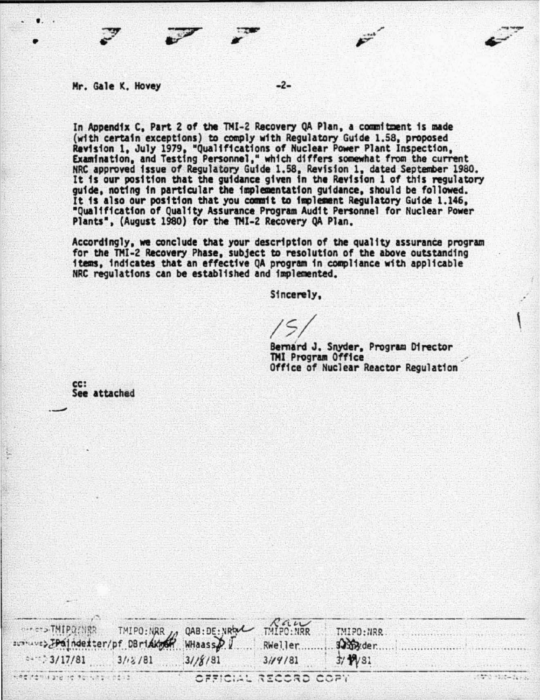## Mr. Gale K. Hovey

In Appendix C. Part 2 of the TMI-2 Recovery QA Plan, a commitment is made (with certain exceptions) to comply with Regulatory Guide 1.58, proposed Revision 1, July 1979, "Qualifications of Nuclear Power Plant Inspection, Examination, and Testing Personnel," which differs somewhat from the current<br>NRC approved issue of Regulatory Guide 1.58, Revision 1, dated September 1980. It is our position that the guidance given in the Revision 1 of this regulatory guide, noting in particular the implementation guidance, should be followed. It is also our position that you commit to implement Regulatory Guide 1.146. "Qualification of Quality Assurance Program Audit Personnel for Nuclear Power Plants", (August 1980) for the TMI-2 Recovery QA Plan.

 $-2-$ 

Accordingly, we conclude that your description of the quality assurance program<br>for the TMI-2 Recovery Phase, subject to resolution of the above outstanding items, indicates that an effective QA program in compliance with applicable NRC regulations can be established and implemented.

Sincerely.

Bernard J. Snyder, Program Director TMI Program Office Office of Nuclear Reactor Regulation

cc: See attached

| SPENTHIPORTER THIPORTER OABLDENRAL THIPORTER |         |                      |         | TMIPO: NRR.                                                                                                                                                                                                                                                                                                                                                                                                                                                                |
|----------------------------------------------|---------|----------------------|---------|----------------------------------------------------------------------------------------------------------------------------------------------------------------------------------------------------------------------------------------------------------------------------------------------------------------------------------------------------------------------------------------------------------------------------------------------------------------------------|
|                                              |         |                      |         | samy.der.                                                                                                                                                                                                                                                                                                                                                                                                                                                                  |
| 247.3/17/81                                  | 3/12/81 | .31/8/81             | 3/14/81 | 3/12/31                                                                                                                                                                                                                                                                                                                                                                                                                                                                    |
| 이 사람은 아이들에게 그 날이 많은 것을 하나를 가지 않았다니?          |         | OFFICIAL RECORD COPT |         | $\frac{1}{2} \left( \frac{1}{2} \right) \left( \frac{1}{2} \right) \left( \frac{1}{2} \right) \left( \frac{1}{2} \right) \left( \frac{1}{2} \right) \left( \frac{1}{2} \right) \left( \frac{1}{2} \right) \left( \frac{1}{2} \right) \left( \frac{1}{2} \right) \left( \frac{1}{2} \right) \left( \frac{1}{2} \right) \left( \frac{1}{2} \right) \left( \frac{1}{2} \right) \left( \frac{1}{2} \right) \left( \frac{1}{2} \right) \left( \frac{1}{2} \right) \left( \frac$ |